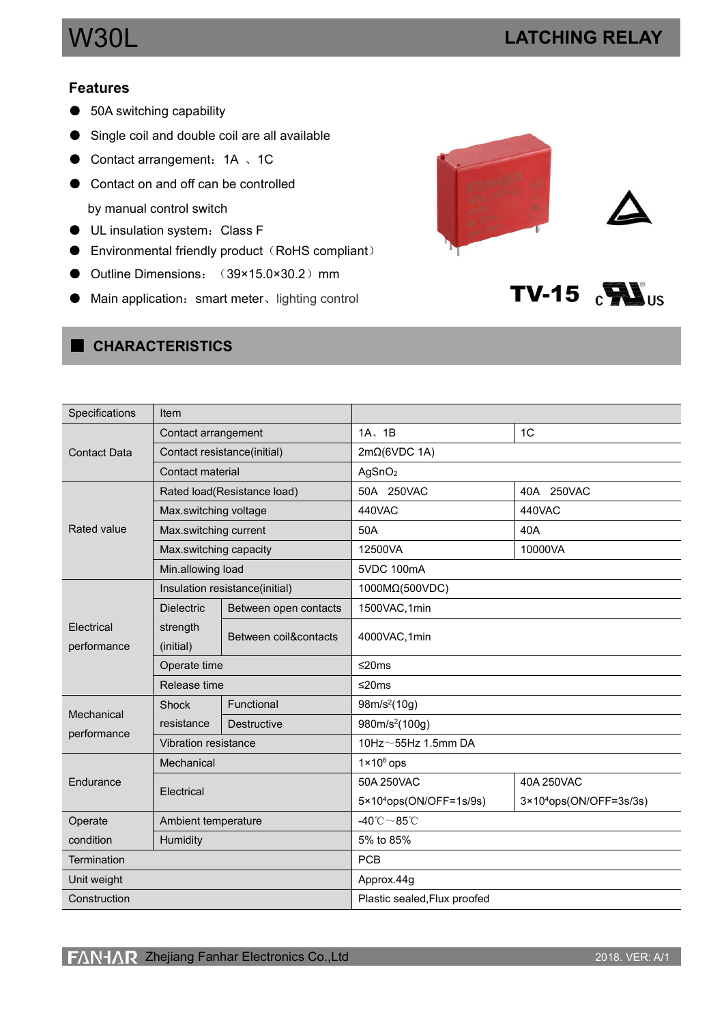$TV-15$   $\sum_{\text{US}}$ 

## **Features**

- 50A switching capability
- Single coil and double coil are all available
- Contact arrangement: 1A 、1C
- Contact on and off can be controlled by manual control switch
- UL insulation system:Class F
- $\bullet$  Environmental friendly product (RoHS compliant)
- Outline Dimensions: (39×15.0×30.2) mm
- Main application: smart meter、lighting control



# ■ **CHARACTERISTICS**

| Specifications      | Item                   |                                |                                         |                                     |  |
|---------------------|------------------------|--------------------------------|-----------------------------------------|-------------------------------------|--|
|                     | Contact arrangement    |                                | $1A$ , $1B$                             | 1 <sup>C</sup>                      |  |
| <b>Contact Data</b> |                        | Contact resistance(initial)    | $2m\Omega$ (6VDC 1A)                    |                                     |  |
|                     | Contact material       |                                | AgSnO <sub>2</sub>                      |                                     |  |
|                     |                        | Rated load(Resistance load)    | 50A 250VAC                              | 40A 250VAC                          |  |
|                     | Max.switching voltage  |                                | 440VAC                                  | 440VAC                              |  |
| Rated value         | Max.switching current  |                                | 50A                                     | 40A                                 |  |
|                     | Max.switching capacity |                                | 12500VA                                 | 10000VA                             |  |
|                     | Min.allowing load      |                                | 5VDC 100mA                              |                                     |  |
|                     |                        | Insulation resistance(initial) | 1000MΩ(500VDC)                          |                                     |  |
|                     | <b>Dielectric</b>      | Between open contacts          | 1500VAC, 1min                           |                                     |  |
| Electrical          | strength               | Between coil&contacts          |                                         |                                     |  |
| performance         | (initial)              |                                | 4000VAC,1min                            |                                     |  |
|                     |                        |                                |                                         |                                     |  |
|                     | Operate time           |                                | ≤20 $ms$                                |                                     |  |
|                     | Release time           |                                | $≤20ms$                                 |                                     |  |
|                     | Shock                  | Functional                     | 98m/s <sup>2</sup> (10g)                |                                     |  |
| Mechanical          | resistance             | Destructive                    | 980m/s <sup>2</sup> (100g)              |                                     |  |
| performance         | Vibration resistance   |                                | 10Hz $\sim$ 55Hz 1.5mm DA               |                                     |  |
|                     | Mechanical             |                                | $1 \times 10^6$ ops                     |                                     |  |
| Endurance           |                        |                                | 50A 250VAC                              | 40A 250VAC                          |  |
|                     | Electrical             |                                | $5 \times 10^4$ ops(ON/OFF=1s/9s)       | $3 \times 10^{4}$ ops(ON/OFF=3s/3s) |  |
| Operate             | Ambient temperature    |                                | -40 $^{\circ}$ C $\sim$ 85 $^{\circ}$ C |                                     |  |
| condition           | Humidity               |                                | 5% to 85%                               |                                     |  |
| Termination         |                        |                                | <b>PCB</b>                              |                                     |  |
| Unit weight         |                        |                                | Approx.44g                              |                                     |  |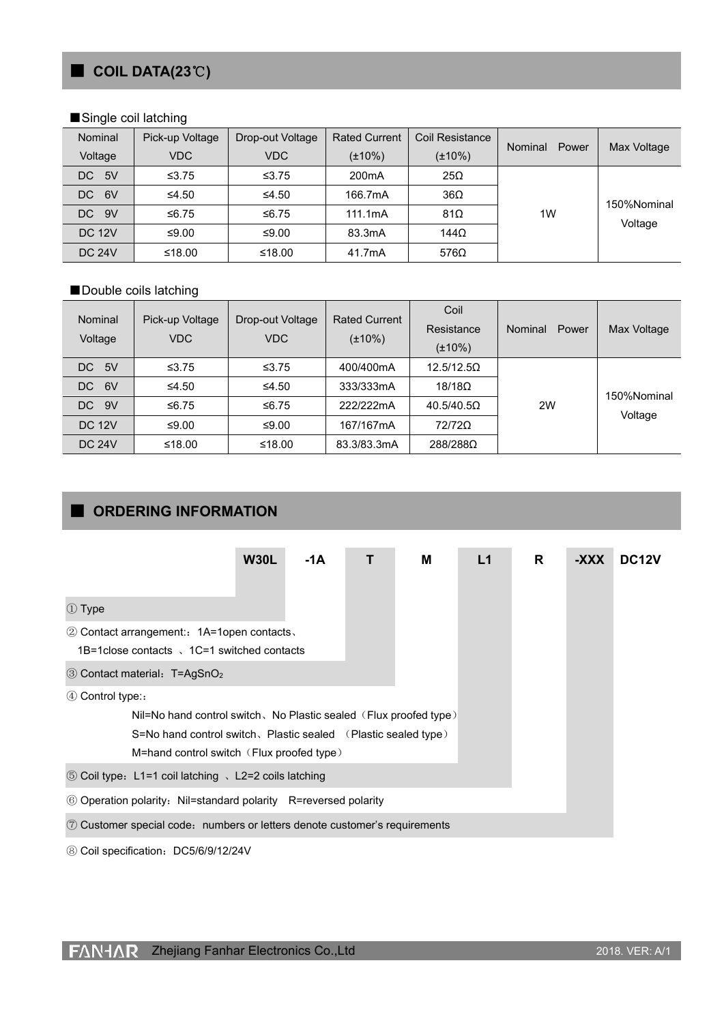# ■ **COIL DATA(23**℃**)**

#### ■Single coil latching

| Nominal       | Pick-up Voltage | Drop-out Voltage | <b>Rated Current</b> | Coil Resistance |                  |             |  |
|---------------|-----------------|------------------|----------------------|-----------------|------------------|-------------|--|
| Voltage       | <b>VDC</b>      | VDC.             | $(\pm 10\%)$         | $(\pm 10\%)$    | Nominal<br>Power | Max Voltage |  |
| DC 5V         | ≤ $3.75$        | ≤ $3.75$         | 200 <sub>m</sub> A   | $25\Omega$      |                  |             |  |
| 6V<br>DC      | ≤4.50           | ≤4.50            | 166.7mA              | $36\Omega$      |                  | 150%Nominal |  |
| DC 9V         | ≤6.75           | ≤6.75            | 111.1mA              | $81\Omega$      | 1W               |             |  |
| <b>DC 12V</b> | ≤9.00           | ≤9.00            | 83.3mA               | 144 $\Omega$    |                  | Voltage     |  |
| <b>DC 24V</b> | ≤18.00          | ≤18.00           | 41.7mA               | 576 $\Omega$    |                  |             |  |

#### ■Double coils latching

| Nominal<br>Voltage | Pick-up Voltage<br><b>VDC</b> | Drop-out Voltage<br><b>VDC</b> | <b>Rated Current</b><br>$(\pm 10\%)$ | Coil<br>Resistance<br>$(\pm 10\%)$                    | Power<br><b>Nominal</b> | Max Voltage |
|--------------------|-------------------------------|--------------------------------|--------------------------------------|-------------------------------------------------------|-------------------------|-------------|
| - 5V<br>DC.        | $\leq 3.75$                   | ≤ $3.75$                       | 400/400mA                            | 12.5/12.5 <omega< td=""><td></td><td></td></omega<>   |                         |             |
| DC 6V              | ≤4.50                         | ≤4.50                          | 333/333mA                            | $18/18\Omega$                                         |                         | 150%Nominal |
| DC 9V              | ≤6.75                         | ≤6.75                          | 222/222mA                            | 40.5/40.5 <omega< td=""><td>2W</td><td></td></omega<> | 2W                      |             |
| <b>DC 12V</b>      | ≤9.00                         | ≤9.00                          | 167/167mA                            | 72/72Ω                                                |                         | Voltage     |
| <b>DC 24V</b>      | ≤18.00                        | ≤18.00                         | 83.3/83.3mA                          | 288/288Ω                                              |                         |             |

# ■ **ORDERING INFORMATION**

|                                                                            | <b>W30L</b> | -1A |  | м | L1 | R | -XXX | DC <sub>12</sub> V |
|----------------------------------------------------------------------------|-------------|-----|--|---|----|---|------|--------------------|
|                                                                            |             |     |  |   |    |   |      |                    |
| ① Type                                                                     |             |     |  |   |    |   |      |                    |
| 2 Contact arrangement: 1A=1open contacts.                                  |             |     |  |   |    |   |      |                    |
| 1B=1 close contacts \, 1C=1 switched contacts                              |             |     |  |   |    |   |      |                    |
| 3 Contact material: T=AgSnO <sub>2</sub>                                   |             |     |  |   |    |   |      |                    |
| $(4)$ Control type:                                                        |             |     |  |   |    |   |      |                    |
| Nil=No hand control switch, No Plastic sealed $(Flux$ proofed type)        |             |     |  |   |    |   |      |                    |
| S=No hand control switch, Plastic sealed (Plastic sealed type)             |             |     |  |   |    |   |      |                    |
| M=hand control switch (Flux proofed type)                                  |             |     |  |   |    |   |      |                    |
| ⑤ Coil type: L1=1 coil latching 、L2=2 coils latching                       |             |     |  |   |    |   |      |                    |
| © Operation polarity: Nil=standard polarity R=reversed polarity            |             |     |  |   |    |   |      |                    |
| 7 Customer special code: numbers or letters denote customer's requirements |             |     |  |   |    |   |      |                    |

⑧ Coil specification:DC5/6/9/12/24V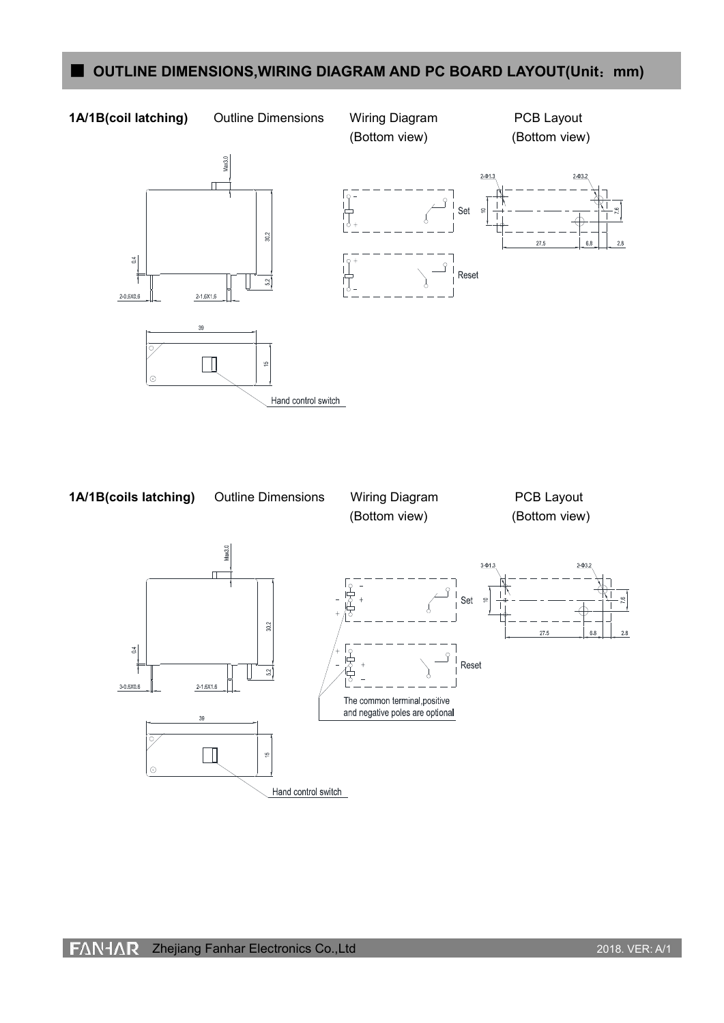# ■ **OUTLINE** DIMENSIONS, WIRING DIAGRAM AND PC BOARD LAYOUT(Unit: mm)

### **1A/1B(coil latching)** Outline Dimensions Wiring Diagram PCB Layout

Hand control switch

(Bottom view) (Bottom view)



 $_{\odot}$ 



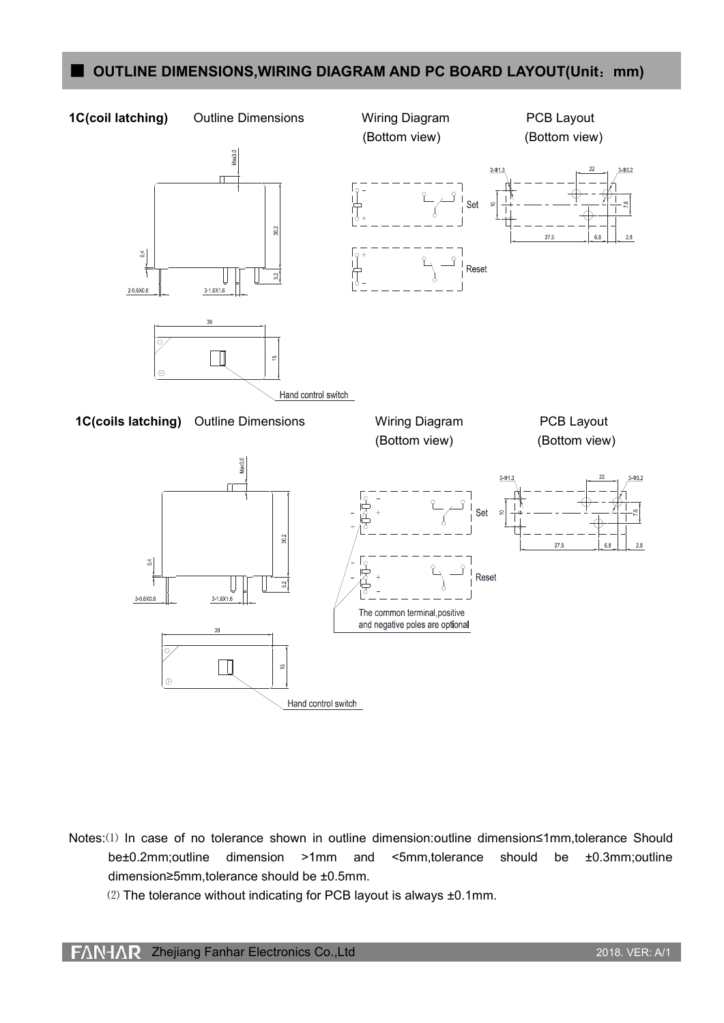## ■ **OUTLINE DIMENSIONS, WIRING DIAGRAM AND PC BOARD LAYOUT(Unit: mm)**

#### **1C(coil latching)** Outline Dimensions Wiring Diagram PCB Layout

 $_{\rm 0.4}^{\rm 4}$ 

2-0,6X0,6

 $30.2$ 

 $\frac{2}{5}$ 

Max3.0

(Bottom view) (Bottom view)





 $3 - 1,6X1,6$ 

Hand control switch



Notes:⑴ In case of no tolerance shown in outline dimension:outline dimension≤1mm,tolerance Should be±0.2mm;outline dimension >1mm and <5mm,tolerance should be ±0.3mm;outline dimension≥5mm,tolerance should be ±0.5mm.

⑵ The tolerance without indicating for PCB layout is always ±0.1mm.